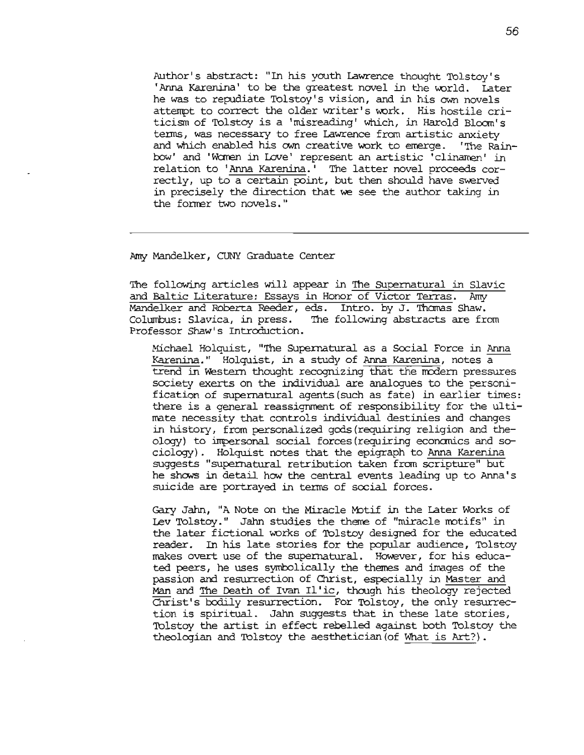Author' <sup>5</sup> abstract: "In his youth Lawrence thought Tolstoy' <sup>5</sup> 'Anna Karenina' to be the greatest novel in the world. Later he was to repudiate Tolstoy's vision, and in his own novels attempt to correct the older writer's work. His hostile criticism of Tolstoy is a 'misreading' which, in Harold Bloom's tenns, was necessary to free Lawrence fran artistic anxiety and which enabled his cwn creative work to errerge. ''The Rainbow' and 'Women in Love' represent an artistic 'clinamen' in relation to 'Anna Karenina.' The latter novel proceeds correctly, up to a certain point, but then should have swerved in precisely the direction that we see the author taking in the former two novels."

Amy Mandelker, CUNY Graduate Center

The following articles will appear in The Supernatural in Slavic and Baltic Literature: Essays in Honor of Victor Terras. Amy Mandelker and Roberta Reeder, eds. Intro. by J. Thomas Shaw. Columbus: Slavica, in press. The following abstracts are from Professor Shaw's Introduction.

Michael Holquist, "'I11e SUFErnatural as a Social Force in Anna Karenina." Holquist, in a study of Anna Karenina, notes a trend in Western thought recognizing that the modern pressures society exerts on the individual are analogues to the personification of supernatural agents (such as fate) in earlier times: there is a general reassignment of responsibility for the ultinate necessity that controls individual destinies and changes in history / from personalized gods (requiring religion and the- $\alpha$ ology) to impersonal social forces (requiring economics and sociolcgy). Holquist notes that the epigraph to Anna Karenina suggests "supernatural retribution taken from scripture" but he shows in detail how the central events leading up to Anna's suicide are portrayed in tenns of social forces.

Gary Jahn, "A Note on the Miracle Motif in the Later Works of Lev Tolstoy." Jahn studies the theme of "miracle motifs" in the later fictional works of Tolstoy designed for the educated reader. In his late stories for the popular audience, Tolstoy makes overt use of the supernatural. However, for his educated peers, he uses symbolically the themes and images of the passion and resurrection of Christ, especially in Master and Man and The Death of Ivan Il'ic, though his theology rejected Christ's bodily resurrection. For Tolstoy, the only resurrection is spiritual. Jahn suggests that in these late stories, Tolstoy the artist in effect rebelled against both Tolstoy the theologian and Tolstoy the aesthetician (of What is Art?).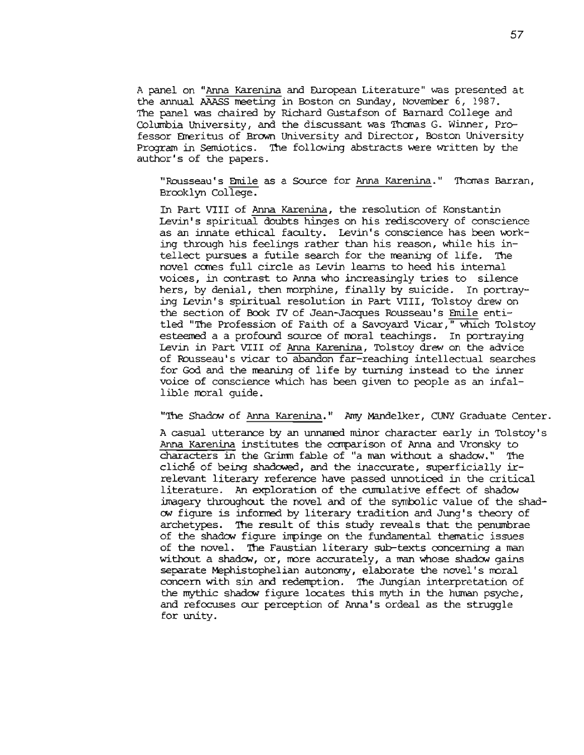<sup>A</sup> panel on "Anna Karenina and EUropean Literature" was presented at the annual AAASS meeting in Boston on Sunday, November 6, 1987. The panel was chaired by Richard Gustafson of Barnard College and Columbia University, and the discussant was Thomas G. Winner, Professor Emeritus of Brown University and Director, Boston University Program in Semiotics. The following abstracts were written by the author's of the papers.

"Rousseau's Emile as a Source for Anna Karenina." Thomas Barran, Brooklyn College.

In Part VIII of Anna Karenina, the resolution of Konstantin levin' <sup>5</sup> spiritual doubts hinges on his rediscovery of conscience as an innate ethical faculty. Levin's conscience has been working through his feelings rather than his reason, while his intellect pursues a futile search for the meaning of life. The novel cares full circle as Levin learns to heed his internal voices, in contrast to Anna who increasingly tries to silence hers, by denial, then morphine, finally by suicide. In portraying Levin's spiritual resolution in Part VIII, Tolstoy drew on the section of Book IV of Jean-Jacques Rousseau's Emile entitled "The Profession of Faith of a Savovard Vicar," which Tolstov esteemed a a profound source of moral teachings. In portraying Levin in Part VIII of Anna Karenina, Tolstoy drew on the advice of Rousseau's vicar to abandon far reaching intellectual searches for God and the reaning of life by turning instead to the inner voice of conscience which has been given to people as an infallible moral quide.

"The Shadow of Anna Karenina." Amy Mandelker, CUNY Graduate Center.

A casual utterance by an unnamed minor character early in Tolstoy's Anna Karenina institutes the canparison of Anna and Vronsky to characters in the Grimn fable of "a man withoot a shadow." '!he cliche of being shadowed, and the inaccurate, superficially irrelevant literary reference have passed unnoticed in the critical literature. An exploration of the cumulative effect of shadow imagery throughout the novel and of the symbolic value of the shad-CM figure is inforrred by literary tradition and Jung' s theory of archetypes. The result of this study reveals that the penumbrae of the shadow figure impinge on the fundamental thematic issues of the novel. The Faustian literary sub-texts concerning a man without a shadow, or, more accurately, a man whose shadow gains separate Mephistophelian autonomy, elaborate the novel's moral concern with sin and redemption. '!he Jungian interpretation of the mythic shadow figure locates this myth in the human psyche, and refocuses our perception of Anna's ordeal as the struggle for unity.